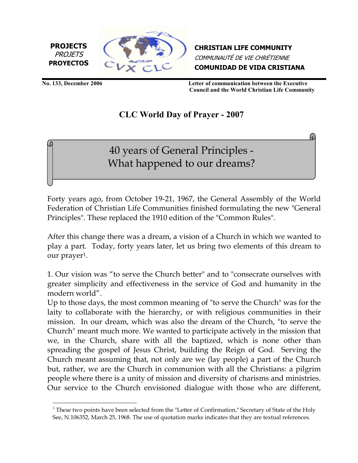

CHRISTIAN LIFE COMMUNITY COMMUNAUTÉ DE VIE CHRÉTIENNE COMUNIDAD DE VIDA CRISTIANA

PROJETS

l.

No. 133, December 2006 Letter of communication between the Executive Council and the World Christian Life Community

## CLC World Day of Prayer - 2007

40 years of General Principles - What happened to our dreams?

Forty years ago, from October 19-21, 1967, the General Assembly of the World Federation of Christian Life Communities finished formulating the new "General Principles". These replaced the 1910 edition of the "Common Rules".

After this change there was a dream, a vision of a Church in which we wanted to play a part. Today, forty years later, let us bring two elements of this dream to our prayer1.

1. Our vision was "to serve the Church better" and to "consecrate ourselves with greater simplicity and effectiveness in the service of God and humanity in the modern world".

Up to those days, the most common meaning of "to serve the Church" was for the laity to collaborate with the hierarchy, or with religious communities in their mission. In our dream, which was also the dream of the Church, "to serve the Church" meant much more. We wanted to participate actively in the mission that we, in the Church, share with all the baptized, which is none other than spreading the gospel of Jesus Christ, building the Reign of God. Serving the Church meant assuming that, not only are we (lay people) a part of the Church but, rather, we are the Church in communion with all the Christians: a pilgrim people where there is a unity of mission and diversity of charisms and ministries. Our service to the Church envisioned dialogue with those who are different,

 $1$  These two points have been selected from the "Letter of Confirmation," Secretary of State of the Holy See, N.106352, March 25, 1968. The use of quotation marks indicates that they are textual references.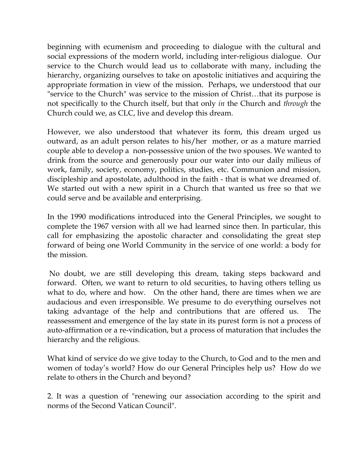beginning with ecumenism and proceeding to dialogue with the cultural and social expressions of the modern world, including inter-religious dialogue. Our service to the Church would lead us to collaborate with many, including the hierarchy, organizing ourselves to take on apostolic initiatives and acquiring the appropriate formation in view of the mission. Perhaps, we understood that our "service to the Church" was service to the mission of Christ…that its purpose is not specifically to the Church itself, but that only in the Church and *through* the Church could we, as CLC, live and develop this dream.

However, we also understood that whatever its form, this dream urged us outward, as an adult person relates to his/her mother, or as a mature married couple able to develop a non-possessive union of the two spouses. We wanted to drink from the source and generously pour our water into our daily milieus of work, family, society, economy, politics, studies, etc. Communion and mission, discipleship and apostolate, adulthood in the faith - that is what we dreamed of. We started out with a new spirit in a Church that wanted us free so that we could serve and be available and enterprising.

In the 1990 modifications introduced into the General Principles, we sought to complete the 1967 version with all we had learned since then. In particular, this call for emphasizing the apostolic character and consolidating the great step forward of being one World Community in the service of one world: a body for the mission.

 No doubt, we are still developing this dream, taking steps backward and forward. Often, we want to return to old securities, to having others telling us what to do, where and how. On the other hand, there are times when we are audacious and even irresponsible. We presume to do everything ourselves not taking advantage of the help and contributions that are offered us. The reassessment and emergence of the lay state in its purest form is not a process of auto-affirmation or a re-vindication, but a process of maturation that includes the hierarchy and the religious.

What kind of service do we give today to the Church, to God and to the men and women of today's world? How do our General Principles help us? How do we relate to others in the Church and beyond?

2. It was a question of "renewing our association according to the spirit and norms of the Second Vatican Council".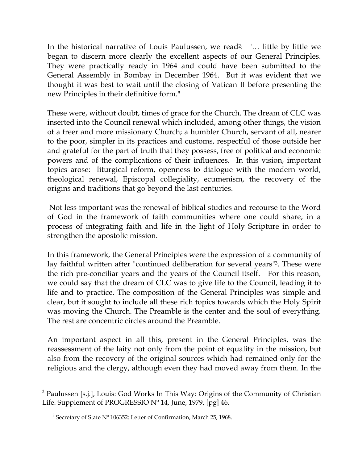In the historical narrative of Louis Paulussen, we read<sup>2</sup>: "... little by little we began to discern more clearly the excellent aspects of our General Principles. They were practically ready in 1964 and could have been submitted to the General Assembly in Bombay in December 1964. But it was evident that we thought it was best to wait until the closing of Vatican II before presenting the new Principles in their definitive form."

These were, without doubt, times of grace for the Church. The dream of CLC was inserted into the Council renewal which included, among other things, the vision of a freer and more missionary Church; a humbler Church, servant of all, nearer to the poor, simpler in its practices and customs, respectful of those outside her and grateful for the part of truth that they possess, free of political and economic powers and of the complications of their influences. In this vision, important topics arose: liturgical reform, openness to dialogue with the modern world, theological renewal, Episcopal collegiality, ecumenism, the recovery of the origins and traditions that go beyond the last centuries.

 Not less important was the renewal of biblical studies and recourse to the Word of God in the framework of faith communities where one could share, in a process of integrating faith and life in the light of Holy Scripture in order to strengthen the apostolic mission.

In this framework, the General Principles were the expression of a community of lay faithful written after "continued deliberation for several years"3. These were the rich pre-conciliar years and the years of the Council itself. For this reason, we could say that the dream of CLC was to give life to the Council, leading it to life and to practice. The composition of the General Principles was simple and clear, but it sought to include all these rich topics towards which the Holy Spirit was moving the Church. The Preamble is the center and the soul of everything. The rest are concentric circles around the Preamble.

An important aspect in all this, present in the General Principles, was the reassessment of the laity not only from the point of equality in the mission, but also from the recovery of the original sources which had remained only for the religious and the clergy, although even they had moved away from them. In the

l.

 $2$  Paulussen [s.j.], Louis: God Works In This Way: Origins of the Community of Christian Life. Supplement of PROGRESSIO Nº 14, June, 1979, [pg] 46.

<sup>&</sup>lt;sup>3</sup> Secretary of State Nº 106352: Letter of Confirmation, March 25, 1968.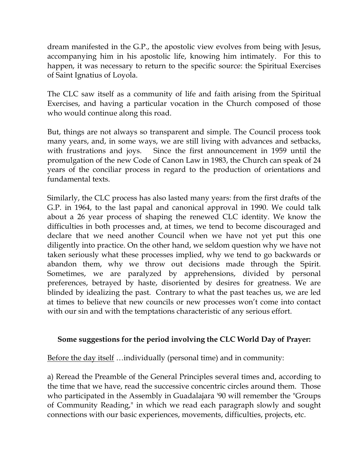dream manifested in the G.P., the apostolic view evolves from being with Jesus, accompanying him in his apostolic life, knowing him intimately. For this to happen, it was necessary to return to the specific source: the Spiritual Exercises of Saint Ignatius of Loyola.

The CLC saw itself as a community of life and faith arising from the Spiritual Exercises, and having a particular vocation in the Church composed of those who would continue along this road.

But, things are not always so transparent and simple. The Council process took many years, and, in some ways, we are still living with advances and setbacks, with frustrations and joys. Since the first announcement in 1959 until the promulgation of the new Code of Canon Law in 1983, the Church can speak of 24 years of the conciliar process in regard to the production of orientations and fundamental texts.

Similarly, the CLC process has also lasted many years: from the first drafts of the G.P. in 1964, to the last papal and canonical approval in 1990. We could talk about a 26 year process of shaping the renewed CLC identity. We know the difficulties in both processes and, at times, we tend to become discouraged and declare that we need another Council when we have not yet put this one diligently into practice. On the other hand, we seldom question why we have not taken seriously what these processes implied, why we tend to go backwards or abandon them, why we throw out decisions made through the Spirit. Sometimes, we are paralyzed by apprehensions, divided by personal preferences, betrayed by haste, disoriented by desires for greatness. We are blinded by idealizing the past. Contrary to what the past teaches us, we are led at times to believe that new councils or new processes won't come into contact with our sin and with the temptations characteristic of any serious effort.

## Some suggestions for the period involving the CLC World Day of Prayer:

Before the day itself …individually (personal time) and in community:

a) Reread the Preamble of the General Principles several times and, according to the time that we have, read the successive concentric circles around them. Those who participated in the Assembly in Guadalajara '90 will remember the "Groups of Community Reading," in which we read each paragraph slowly and sought connections with our basic experiences, movements, difficulties, projects, etc.